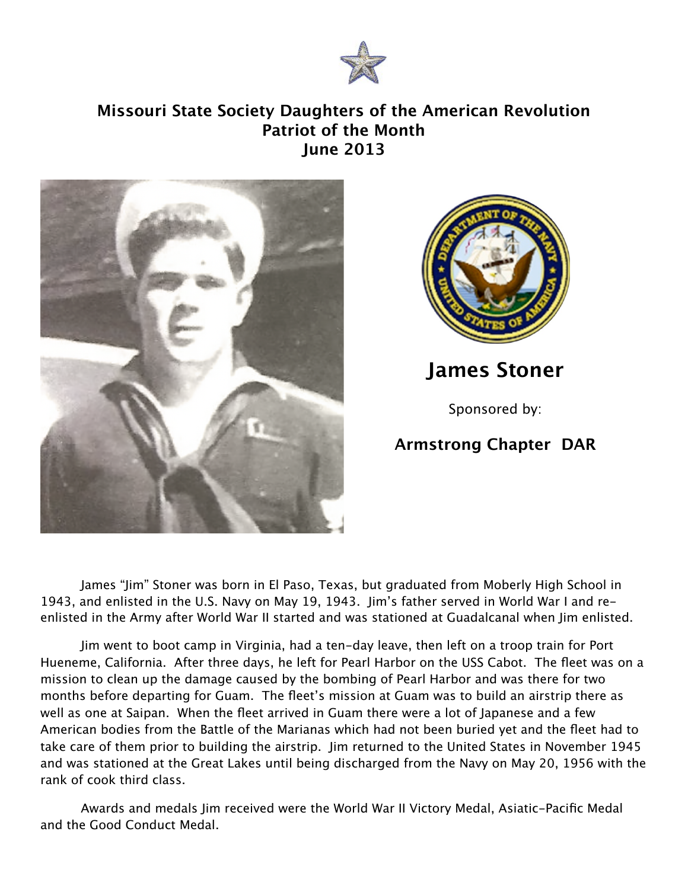

## **Missouri State Society Daughters of the American Revolution Patriot of the Month June 2013**





**James Stoner**

Sponsored by:

## **Armstrong Chapter DAR**

James "Jim" Stoner was born in El Paso, Texas, but graduated from Moberly High School in 1943, and enlisted in the U.S. Navy on May 19, 1943. Jim's father served in World War I and reenlisted in the Army after World War II started and was stationed at Guadalcanal when Jim enlisted.

Jim went to boot camp in Virginia, had a ten-day leave, then left on a troop train for Port Hueneme, California. After three days, he left for Pearl Harbor on the USS Cabot. The fleet was on a mission to clean up the damage caused by the bombing of Pearl Harbor and was there for two months before departing for Guam. The fleet's mission at Guam was to build an airstrip there as well as one at Saipan. When the fleet arrived in Guam there were a lot of Japanese and a few American bodies from the Battle of the Marianas which had not been buried yet and the fleet had to take care of them prior to building the airstrip. Jim returned to the United States in November 1945 and was stationed at the Great Lakes until being discharged from the Navy on May 20, 1956 with the rank of cook third class.

Awards and medals Jim received were the World War II Victory Medal, Asiatic-Pacific Medal and the Good Conduct Medal.